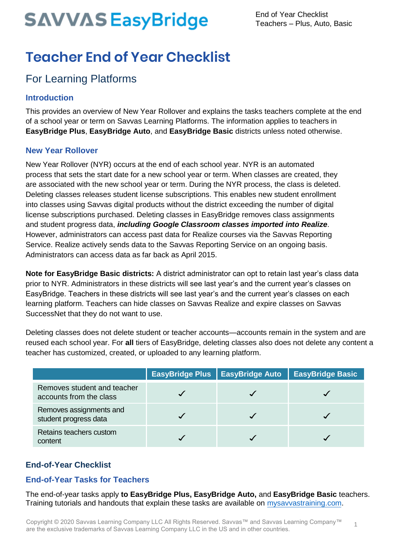1

### **Teacher End of Year Checklist**

### For Learning Platforms

#### **Introduction**

This provides an overview of New Year Rollover and explains the tasks teachers complete at the end of a school year or term on Savvas Learning Platforms. The information applies to teachers in **EasyBridge Plus**, **EasyBridge Auto**, and **EasyBridge Basic** districts unless noted otherwise.

#### **New Year Rollover**

New Year Rollover (NYR) occurs at the end of each school year. NYR is an automated process that sets the start date for a new school year or term. When classes are created, they are associated with the new school year or term. During the NYR process, the class is deleted. Deleting classes releases student license subscriptions. This enables new student enrollment into classes using Savvas digital products without the district exceeding the number of digital license subscriptions purchased. Deleting classes in EasyBridge removes class assignments and student progress data, *including Google Classroom classes imported into Realize*. However, administrators can access past data for Realize courses via the Savvas Reporting Service. Realize actively sends data to the Savvas Reporting Service on an ongoing basis. Administrators can access data as far back as April 2015.

**Note for EasyBridge Basic districts:** A district administrator can opt to retain last year's class data prior to NYR. Administrators in these districts will see last year's and the current year's classes on EasyBridge. Teachers in these districts will see last year's and the current year's classes on each learning platform. Teachers can hide classes on Savvas Realize and expire classes on Savvas SuccessNet that they do not want to use.

Deleting classes does not delete student or teacher accounts—accounts remain in the system and are reused each school year. For **all** tiers of EasyBridge, deleting classes also does not delete any content a teacher has customized, created, or uploaded to any learning platform.

|                                                        | EasyBridge Plus   EasyBridge Auto | <b>EasyBridge Basic</b> |
|--------------------------------------------------------|-----------------------------------|-------------------------|
| Removes student and teacher<br>accounts from the class |                                   |                         |
| Removes assignments and<br>student progress data       |                                   |                         |
| Retains teachers custom<br>content                     |                                   |                         |

#### **End-of-Year Checklist**

#### **End-of-Year Tasks for Teachers**

The end-of-year tasks apply **to EasyBridge Plus, EasyBridge Auto,** and **EasyBridge Basic** teachers. Training tutorials and handouts that explain these tasks are available on *mysavvastraining.com.*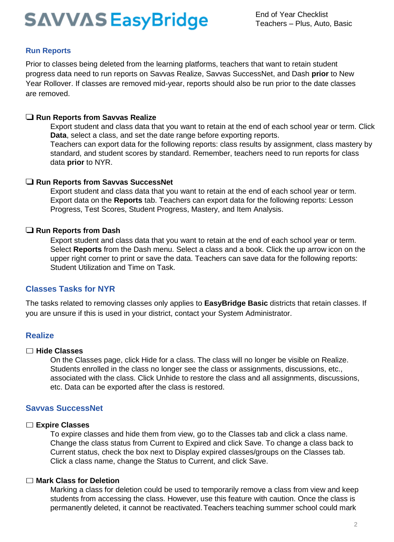#### **Run Reports**

Prior to classes being deleted from the learning platforms, teachers that want to retain student progress data need to run reports on Savvas Realize, Savvas SuccessNet, and Dash **prior** to New Year Rollover. If classes are removed mid-year, reports should also be run prior to the date classes are removed.

#### ❑ **Run Reports from Savvas Realize**

Export student and class data that you want to retain at the end of each school year or term. Click **Data**, select a class, and set the date range before exporting reports.

Teachers can export data for the following reports: class results by assignment, class mastery by standard, and student scores by standard. Remember, teachers need to run reports for class data **prior** to NYR.

#### ❑ **Run Reports from Savvas SuccessNet**

Export student and class data that you want to retain at the end of each school year or term. Export data on the **Reports** tab. Teachers can export data for the following reports: Lesson Progress, Test Scores, Student Progress, Mastery, and Item Analysis.

#### ❑ **Run Reports from Dash**

Export student and class data that you want to retain at the end of each school year or term. Select **Reports** from the Dash menu. Select a class and a book. Click the up arrow icon on the upper right corner to print or save the data. Teachers can save data for the following reports: Student Utilization and Time on Task.

#### **Classes Tasks for NYR**

The tasks related to removing classes only applies to **EasyBridge Basic** districts that retain classes. If you are unsure if this is used in your district, contact your System Administrator.

#### **Realize**

#### ☐ **Hide Classes**

On the Classes page, click Hide for a class. The class will no longer be visible on Realize. Students enrolled in the class no longer see the class or assignments, discussions, etc., associated with the class. Click Unhide to restore the class and all assignments, discussions, etc. Data can be exported after the class is restored.

#### **Savvas SuccessNet**

#### ☐ **Expire Classes**

To expire classes and hide them from view, go to the Classes tab and click a class name. Change the class status from Current to Expired and click Save. To change a class back to Current status, check the box next to Display expired classes/groups on the Classes tab. Click a class name, change the Status to Current, and click Save.

#### ☐ **Mark Class for Deletion**

Marking a class for deletion could be used to temporarily remove a class from view and keep students from accessing the class. However, use this feature with caution. Once the class is permanently deleted, it cannot be reactivated. Teachers teaching summer school could mark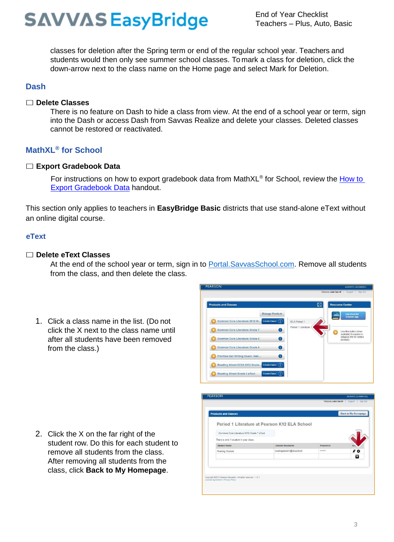classes for deletion after the Spring term or end of the regular school year. Teachers and students would then only see summer school classes. To mark a class for deletion, click the down-arrow next to the class name on the Home page and select Mark for Deletion.

#### **Dash**

#### ☐ **Delete Classes**

There is no feature on Dash to hide a class from view. At the end of a school year or term, sign into the Dash or access Dash from Savvas Realize and delete your classes. Deleted classes cannot be restored or reactivated.

#### **MathXL® for School**

#### ☐ **Export Gradebook Data**

For instructions on how to export gradebook data from MathXL® for School, review the How to [Export Gradebook Data](https://media.pearsoncmg.com/cmg/pmmg_mml_shared/mathxlforschool/tipsheets/MXLS_exporting_gradebook.pdf) handout.

This section only applies to teachers in **EasyBridge Basic** districts that use stand-alone eText without an online digital course.

#### **eText**

#### ☐ **Delete eText Classes**

At the end of the school year or term, sign in to Portal.SavvasSchool.com. Remove all students from the class, and then delete the class.

1. Click a class name in the list. (Do not click the X next to the class name until after all students have been removed from the class.)



| 2. Click the X on the far right of the<br>student row. Do this for each student to<br>remove all students from the class. |
|---------------------------------------------------------------------------------------------------------------------------|
| After removing all students from the                                                                                      |
| class, click Back to My Homepage.                                                                                         |

| <b>Products and Classes</b>                                                                           |                          |          | <b>Back to My Homepage</b> |
|-------------------------------------------------------------------------------------------------------|--------------------------|----------|----------------------------|
| Period 1 Literature at Pearson K12 ELA School                                                         |                          |          |                            |
| Common Core Literature 2012 Grade 7 eText                                                             |                          |          |                            |
| There is only 1 student in your class.                                                                |                          |          |                            |
| <b>Student Name</b>                                                                                   | <b>Student Username</b>  | Password | Ac <sub>t</sub>            |
| Reading Student                                                                                       | readingstudent@elaschool | *******  | $\ell$ o                   |
|                                                                                                       |                          |          | Ŧ                          |
|                                                                                                       |                          |          |                            |
|                                                                                                       |                          |          |                            |
|                                                                                                       |                          |          |                            |
| Copyright @2012 Pearson Education, All rights reserved.   1.5.1<br>License Agreement   Privacy Policy |                          |          |                            |